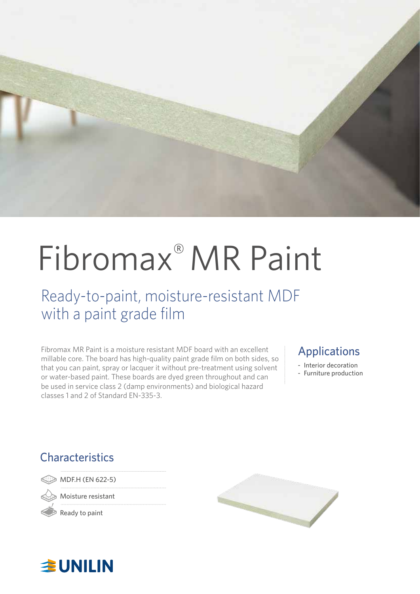

# Fibromax® MR Paint

### Ready-to-paint, moisture-resistant MDF with a paint grade film

Fibromax MR Paint is a moisture resistant MDF board with an excellent millable core. The board has high-quality paint grade film on both sides, so that you can paint, spray or lacquer it without pre-treatment using solvent or water-based paint. These boards are dyed green throughout and can be used in service class 2 (damp environments) and biological hazard classes 1 and 2 of Standard EN-335-3.

### Applications

- Interior decoration
- Furniture production

### **Characteristics**

MDF.H (EN 622-5)

Moisture resistant

Ready to paint